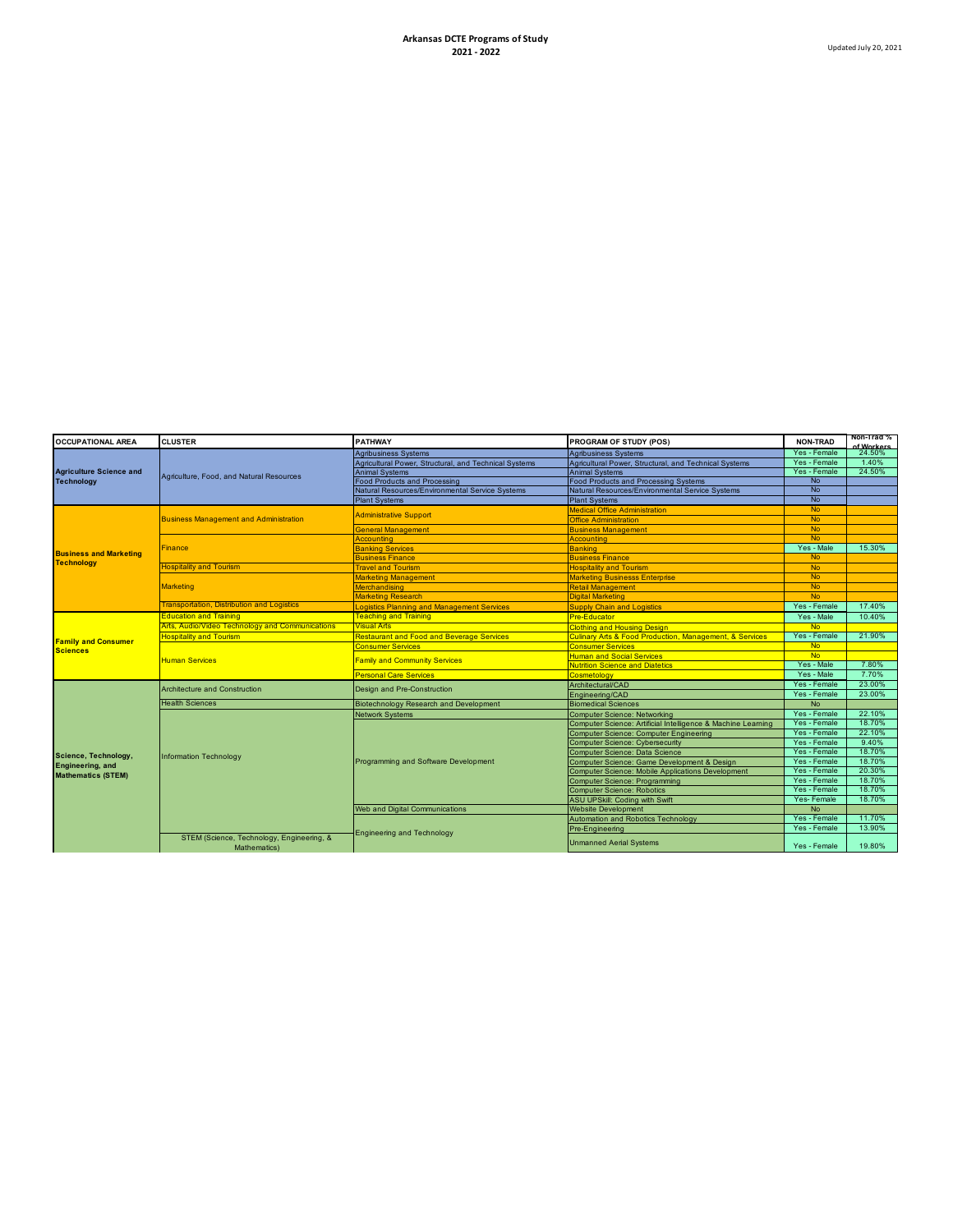| <b>OCCUPATIONAL AREA</b>                            | <b>CLUSTER</b>                                            | <b>PATHWAY</b>                                        | PROGRAM OF STUDY (POS)                                                 | <b>NON-TRAD</b> | Non-Trad %<br>f Workers |
|-----------------------------------------------------|-----------------------------------------------------------|-------------------------------------------------------|------------------------------------------------------------------------|-----------------|-------------------------|
| <b>Agriculture Science and</b><br><b>Technology</b> | Agriculture, Food, and Natural Resources                  | <b>Agribusiness Systems</b>                           | <b>Agribusiness Systems</b>                                            | Yes - Female    | 24.50%                  |
|                                                     |                                                           | Agricultural Power, Structural, and Technical Systems | Agricultural Power, Structural, and Technical Systems                  | Yes - Female    | 1.40%                   |
|                                                     |                                                           | <b>Animal Systems</b>                                 | <b>Animal Systems</b>                                                  | Yes - Female    | 24.50%                  |
|                                                     |                                                           | <b>Food Products and Processing</b>                   | <b>Food Products and Processing Systems</b>                            | No.             |                         |
|                                                     |                                                           | Natural Resources/Environmental Service Systems       | Natural Resources/Environmental Service Systems                        | <b>No</b>       |                         |
|                                                     |                                                           | <b>Plant Systems</b>                                  | <b>Plant Systems</b>                                                   | <b>No</b>       |                         |
| <b>Business and Marketing</b>                       | <b>Business Management and Administration</b>             | <b>Administrative Support</b>                         | <b>Medical Office Administration</b>                                   | <b>No</b>       |                         |
|                                                     |                                                           |                                                       | <b>Office Administration</b>                                           | <b>No</b>       |                         |
|                                                     |                                                           | <b>General Management</b>                             | <b>Business Management</b>                                             | <b>No</b>       |                         |
|                                                     | <b>Finance</b>                                            | Accountina                                            | Accounting                                                             | <b>No</b>       |                         |
|                                                     |                                                           | <b>Banking Services</b>                               | <b>Banking</b>                                                         | Yes - Male      | 15.30%                  |
|                                                     |                                                           | <b>Business Finance</b>                               | <b>Business Finance</b>                                                | <b>No</b>       |                         |
| <b>Technology</b>                                   | <b>Hospitality and Tourism</b>                            | <b>Travel and Tourism</b>                             | <b>Hospitality and Tourism</b>                                         | <b>No</b>       |                         |
|                                                     | <b>Marketing</b>                                          | <b>Marketing Management</b>                           | <b>Marketing Businesss Enterprise</b>                                  | <b>No</b>       |                         |
|                                                     |                                                           | <b>Merchandising</b>                                  | <b>Retail Management</b>                                               | <b>No</b>       |                         |
|                                                     |                                                           | <b>Marketing Research</b>                             | <b>Digital Marketing</b>                                               | <b>No</b>       |                         |
|                                                     | <b>Transportation, Distribution and Logistics</b>         | Logistics Planning and Management Services            | <b>Supply Chain and Logistics</b>                                      | Yes - Female    | 17.40%                  |
|                                                     | <b>Education and Training</b>                             | <b>Teaching and Training</b>                          | <b>Pre-Educator</b>                                                    | Yes - Male      | 10.40%                  |
| <b>Family and Consumer</b><br><b>Sciences</b>       | Arts, Audio/Video Technology and Communications           | <b>Visual Arts</b>                                    | <b>Clothing and Housing Design</b>                                     | <b>No</b>       |                         |
|                                                     | <b>Hospitality and Tourism</b>                            | <b>Restaurant and Food and Beverage Services</b>      | <b>Culinary Arts &amp; Food Production, Management, &amp; Services</b> | Yes - Female    | 21.90%                  |
|                                                     | <b>Human Services</b>                                     | <b>Consumer Services</b>                              | <b>Consumer Services</b>                                               | <b>No</b>       |                         |
|                                                     |                                                           | <b>Family and Community Services</b>                  | <b>Human and Social Services</b>                                       | <b>No</b>       |                         |
|                                                     |                                                           |                                                       | <b>Nutrition Science and Diatetics</b>                                 | Yes - Male      | 7.80%                   |
|                                                     |                                                           | <b>Personal Care Services</b>                         | Cosmetology                                                            | Yes - Male      | 7.70%                   |
|                                                     | <b>Architecture and Construction</b>                      | Design and Pre-Construction                           | Architectural/CAD                                                      | Yes - Female    | 23.00%                  |
| Science, Technology,                                |                                                           |                                                       | Engineering/CAD                                                        | Yes - Female    | 23.00%                  |
|                                                     | <b>Health Sciences</b>                                    | <b>Biotechnology Research and Development</b>         | <b>Biomedical Sciences</b>                                             | <b>No</b>       |                         |
|                                                     | <b>Information Technology</b>                             | <b>Network Systems</b>                                | Computer Science: Networking                                           | Yes - Female    | 22.10%                  |
|                                                     |                                                           | Programming and Software Development                  | Computer Science: Artificial Intelligence & Machine Learning           | Yes - Female    | 18.70%                  |
|                                                     |                                                           |                                                       | Computer Science: Computer Engineering                                 | Yes - Female    | 22.10%                  |
|                                                     |                                                           |                                                       | <b>Computer Science: Cybersecurity</b>                                 | Yes - Female    | 9.40%                   |
|                                                     |                                                           |                                                       | Computer Science: Data Science                                         | Yes - Female    | 18.70%                  |
| Engineering, and                                    |                                                           |                                                       | Computer Science: Game Development & Design                            | Yes - Female    | 18.70%                  |
| <b>Mathematics (STEM)</b>                           |                                                           |                                                       | <b>Computer Science: Mobile Applications Development</b>               | Yes - Female    | 20.30%                  |
|                                                     |                                                           |                                                       | <b>Computer Science: Programming</b>                                   | Yes - Female    | 18.70%                  |
|                                                     |                                                           |                                                       | <b>Computer Science: Robotics</b>                                      | Yes - Female    | 18.70%                  |
|                                                     |                                                           |                                                       | <b>ASU UPSkill: Coding with Swift</b>                                  | Yes-Female      | 18.70%                  |
|                                                     |                                                           | Web and Digital Communications                        | <b>Website Development</b>                                             | <b>No</b>       |                         |
|                                                     |                                                           | <b>Engineering and Technology</b>                     | Automation and Robotics Technology                                     | Yes - Female    | 11.70%                  |
|                                                     |                                                           |                                                       | Pre-Engineering                                                        | Yes - Female    | 13.90%                  |
|                                                     | STEM (Science, Technology, Engineering, &<br>Mathematics) |                                                       | <b>Unmanned Aerial Systems</b>                                         | Yes - Female    | 19.80%                  |